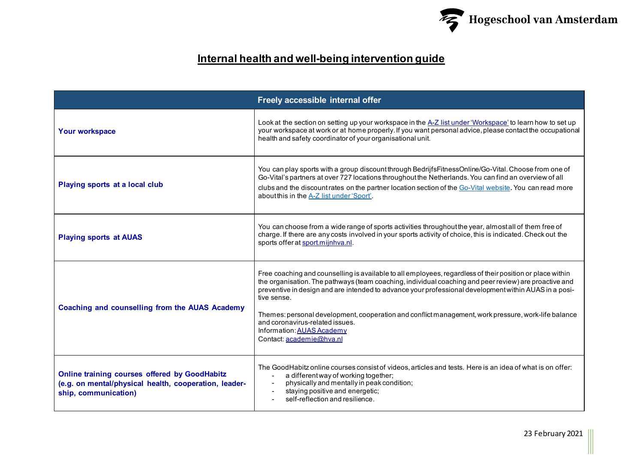

## **Internal health and well-being intervention guide**

|                                                                                                                                | Freely accessible internal offer                                                                                                                                                                                                                                                                                                                                                                                                                                                                                                              |
|--------------------------------------------------------------------------------------------------------------------------------|-----------------------------------------------------------------------------------------------------------------------------------------------------------------------------------------------------------------------------------------------------------------------------------------------------------------------------------------------------------------------------------------------------------------------------------------------------------------------------------------------------------------------------------------------|
| <b>Your workspace</b>                                                                                                          | Look at the section on setting up your workspace in the A-Z list under 'Workspace' to learn how to set up<br>your workspace at work or at home properly. If you want personal advice, please contact the occupational<br>health and safety coordinator of your organisational unit.                                                                                                                                                                                                                                                           |
| Playing sports at a local club                                                                                                 | You can play sports with a group discount through BedrijfsFitnessOnline/Go-Vital. Choose from one of<br>Go-Vital's partners at over 727 locations throughout the Netherlands. You can find an overview of all<br>clubs and the discountrates on the partner location section of the Go-Vital website. You can read more<br>about this in the A-Z list under 'Sport'.                                                                                                                                                                          |
| <b>Playing sports at AUAS</b>                                                                                                  | You can choose from a wide range of sports activities throughout the year, almost all of them free of<br>charge. If there are any costs involved in your sports activity of choice, this is indicated. Check out the<br>sports offer at sport.mijnhva.nl.                                                                                                                                                                                                                                                                                     |
| Coaching and counselling from the AUAS Academy                                                                                 | Free coaching and counselling is available to all employees, regardless of their position or place within<br>the organisation. The pathways (team coaching, individual coaching and peer review) are proactive and<br>preventive in design and are intended to advance your professional development within AUAS in a posi-<br>tive sense.<br>Themes: personal development, cooperation and conflict management, work pressure, work-life balance<br>and coronavirus-related issues.<br>Information: AUAS Academy<br>Contact: academie@hva.nl |
| Online training courses offered by GoodHabitz<br>(e.g. on mental/physical health, cooperation, leader-<br>ship, communication) | The GoodHabitz online courses consist of videos, articles and tests. Here is an idea of what is on offer:<br>a different way of working together;<br>physically and mentally in peak condition;<br>staying positive and energetic;<br>self-reflection and resilience.                                                                                                                                                                                                                                                                         |